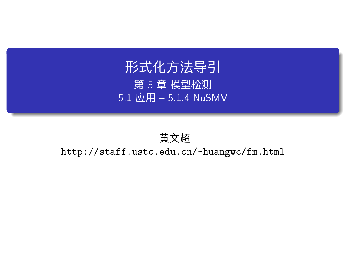# 形式化方法导引 第 5 章 模型检测 5.1 应用 – 5.1.4 NuSMV

黄文超 http://staff.ustc.edu.cn/~huangwc/fm.html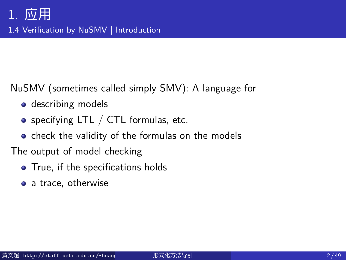### 1. 应用 1.4 Verification by NuSMV | Introduction

NuSMV (sometimes called simply SMV): A language for

- · describing models
- $\bullet$  specifying LTL / CTL formulas, etc.
- check the validity of the formulas on the models

The output of model checking

- True, if the specifications holds
- a trace, otherwise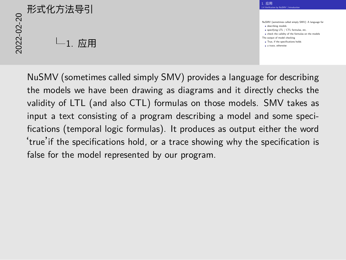# 2<br>2022<br>2022<br>2022<br>2022<br>2022<br>2022<br>2022  $L_1$ . 应用

NuSMV (sometimes called simply SMV): A language for describing models specifying models<br>describing models<br>specifying LTL / CTL formulas, etc. **check the validity of the formulas, etc.**<br> **c** the validity of the formulas on the models<br>
The output of model checking<br> **c** True, if the specifications holds  $\frac{1}{2}$ a trace, or moute come<br>True, if the specificat<br>a trace, otherwise

1. 应用 1.4 Verification by NuSMV | Introduction

NuSMV (sometimes called simply SMV) provides a language for describing the models we have been drawing as diagrams and it directly checks the validity of LTL (and also CTL) formulas on those models. SMV takes as input a text consisting of a program describing a model and some specifications (temporal logic formulas). It produces as output either the word 'true'if the specifications hold, or a trace showing why the specification is false for the model represented by our program.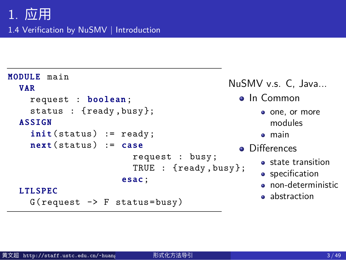1.4 Verification by NuSMV | Introduction

```
MODULE main
  VAR
    request : boolean;
    status : {ready ,busy};
  ASSIGN
     init(status) := ready;next(status) := caserequest : busy;
                          TRUE : {ready ,busy};
                       esac;
  L TL SPEC
    G(request \rightarrow F status = busy)NuSMV v.s. C, Java...
                                                . In Common
                                                    one, or more
                                                      modules
                                                    main
                                                • Differences
                                                    • state transition
                                                    • specification
                                                    • non-deterministic
                                                    a abstraction
```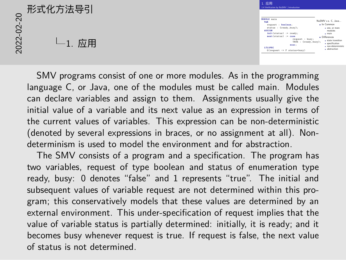# 2<br>2022<br>2022<br>2022<br>2022<br>2022<br>2022  $L_{1.}$  应用

| 1 应用<br>1.4 Verification by NuSMV   Introduction                                                                                       |                                                                                             |
|----------------------------------------------------------------------------------------------------------------------------------------|---------------------------------------------------------------------------------------------|
| MODILLE main<br>VAR<br>request : boolesn:<br>status : (ready.busy):<br><b>ASSIGN</b><br>init(status) := ready:<br>mext(status) := case | NuSMV v.s. C. Java<br>A In Common<br>. one, or more<br>modulas<br>$-$ main<br>A Differences |
| request : busy;<br>TRUE : (ready, busy);<br>$\cdots$<br><b>LTLSPEC</b><br>G(request -> F status=busy)                                  | a state transition<br>a specification<br>· non-datarministic<br>· abstraction               |

SMV programs consist of one or more modules. As in the programming language C, or Java, one of the modules must be called main. Modules can declare variables and assign to them. Assignments usually give the initial value of a variable and its next value as an expression in terms of the current values of variables. This expression can be non-deterministic (denoted by several expressions in braces, or no assignment at all). Nondeterminism is used to model the environment and for abstraction.

The SMV consists of a program and a specification. The program has two variables, request of type boolean and status of enumeration type ready, busy: 0 denotes "false" and 1 represents "true". The initial and subsequent values of variable request are not determined within this program; this conservatively models that these values are determined by an external environment. This under-specification of request implies that the value of variable status is partially determined: initially, it is ready; and it becomes busy whenever request is true. If request is false, the next value of status is not determined.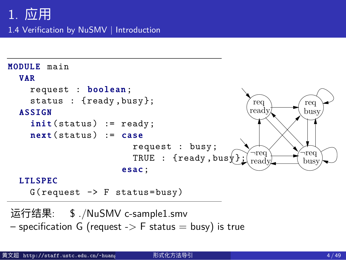1.4 Verification by NuSMV | Introduction



运行结果: \$ ./NuSMV c-sample1.smv – specification G (request - $>$  F status  $=$  busy) is true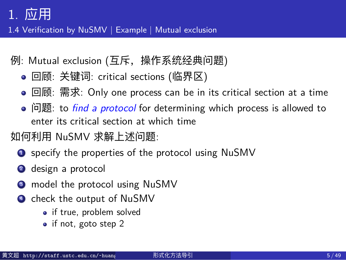1.4 Verification by NuSMV | Example | Mutual exclusion

- 例: Mutual exclusion (互斥,操作系统经典问题)
	- 回顾: 关键词: critical sections (临界区)
	- 回顾: 需求: Only one process can be in its critical section at a time
	- 问题: to *find a protocol* for determining which process is allowed to enter its critical section at which time

### 如何利用 NuSMV 求解上述问题:

- **1** specify the properties of the protocol using NuSMV
- <sup>2</sup> design a protocol
- <sup>3</sup> model the protocol using NuSMV
- <sup>4</sup> check the output of NuSMV
	- if true, problem solved
	- if not, goto step 2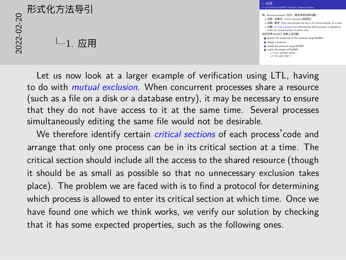# 2022-02-20形式化方法导引  $L_{1.}$ 应用

1. 应用  $1.~\overline{\underline{m}}$   $\overline{\overline{H}}$ <br>1.4 Verification by NuSMV | Example | Mutual exclusion **例:** Mutual exclusion (互斥,操作系统经典问题)<br>● 图 Mutual sections (百斤,操作系统经典问题)<br>• 回顾: 密歇: P find a protocol for determining which section at a time <br>• 问题: to *find a protocol* for determining which process is allowed to<br>• 问题: to e 回顾: 需求: Unly one process can be in a<br>enter its critical section at which time<br>如何利用 NuSMV 求解上述问题: - unter the childra auction at winds three<br>何利用 NuSMV 求解上述问题:<br>D specify the properties of the protocol using NuSMV 2 specify the propert<br>2 specify the propert<br>2 design a protocol 3 design a protocol<br>3 design a protocol<br>3 model the protocol using NuSMV **4** oneign a protocol<br>**4** model the protocol using NuSMV<br>**4** check the output of NuSMV if the output of NuSMV<br>if true, problem solved c the output of Nu5<br>if true, problem solves<br>if not, goto step 2

Let us now look at a larger example of verification using LTL, having to do with *mutual exclusion*. When concurrent processes share a resource (such as a file on a disk or a database entry), it may be necessary to ensure that they do not have access to it at the same time. Several processes simultaneously editing the same file would not be desirable.

We therefore identify certain *critical sections* of each process'code and arrange that only one process can be in its critical section at a time. The critical section should include all the access to the shared resource (though it should be as small as possible so that no unnecessary exclusion takes place). The problem we are faced with is to find a protocol for determining which process is allowed to enter its critical section at which time. Once we have found one which we think works, we verify our solution by checking that it has some expected properties, such as the following ones.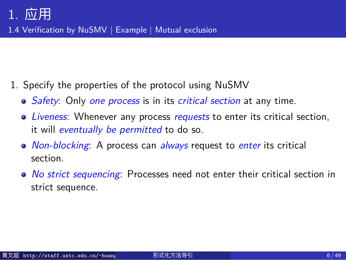1.4 Verification by NuSMV | Example | Mutual exclusion

- 1. Specify the properties of the protocol using NuSMV
	- *Safety*: Only *one process* is in its *critical section* at any time.
	- *Liveness*: Whenever any process *requests* to enter its critical section, it will *eventually be permitted* to do so.
	- *Non-blocking*: A process can *always* request to *enter* its critical section.
	- *No strict sequencing*: Processes need not enter their critical section in strict sequence.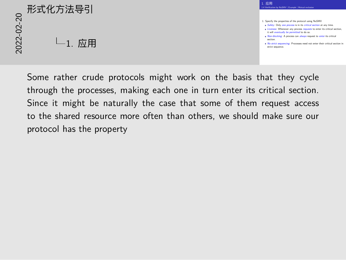# 2<br>2022<br>2022<br>2022<br>2022<br>2022<br>2022<br>2022  $L_1$ . 应用

1. Specify the properties of the protocol using NuSMV *Safety*: Only *one process* is in its *critical section* at any time. *Liveness*: Whenever any process *requests* to enter its critical section, Sativy: Unty one process is in its critical section at any time.<br>Liveness: Whenever any process requests to enter its critical sect<br>it will eventually be permitted to do so.<br>Non-blocking: A process can *always* request to Won-blocking: A process can always request to enter its critical<br>section.<br>No st*rict* sequencing: Processes need not enter their critical section in section.<br><mark>No strict sequenc</mark><br>strict sequen<mark>ce.</mark>

 $1.~\overline{\underline{m}}$   $\overline{\overline{H}}$ <br>1.4 Verification by NuSMV | Example | Mutual exclusion

1. 应用

Some rather crude protocols might work on the basis that they cycle through the processes, making each one in turn enter its critical section. Since it might be naturally the case that some of them request access to the shared resource more often than others, we should make sure our protocol has the property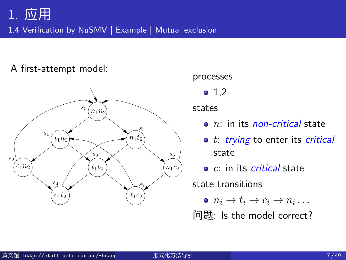1.4 Verification by NuSMV | Example | Mutual exclusion

A first-attempt model: 188 3 Verification by model checking and checking checking and checking checking and checking checking and check

#### $s_0 \left( n_1 n_2 \right)$  $t_1 n_2$  $\binom{c_1}{1}$   $\binom{t_1}{2}$  $Y_{n_1t_2}$  $(n_1c_2)$  $c_1 t_2$  *(t<sub>1</sub>c<sub>2</sub>) s*1 *s*2 *s*4 *s*3 *s*5 *s*6 *s*7

#### processes

•  $1,2$ 

states

- *n*: in its *non-critical* state
- *t*: *trying* to enter its *critical* state
- *c*: in its *critical* state

state transitions

 $n_i \rightarrow t_i \rightarrow c_i \rightarrow n_i \dots$ 

问题: Is the model correct?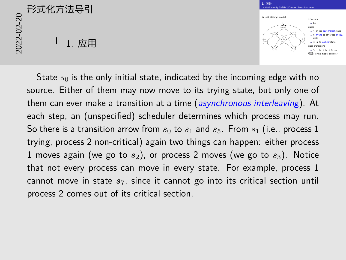

useful. Therefore, we should also require:

State  $s_0$  is the only initial state, indicated by the incoming edge with no source. Either of them may now move to its trying state, but only one of which is in its non-critical state (*n*), or trying to enter its critical state (*t*), them can ever make a transition at a time (asynchronous interleaving). At each step, an (unspecified) scheduler determines which process may run. So there is a transition arrow from  $s_0$  to  $s_1$  and  $s_5$ . From  $s_1$  (i.e., process 1 trying, process 2 non-critical) again two things can happen: either process 1 moves again (we go to *s*2), or process 2 moves (we go to *s*3). Notice that not every process can move in every state. For example, process 1 cannot move in state *s*7, since it cannot go into its critical section until process 2 comes out of its critical section.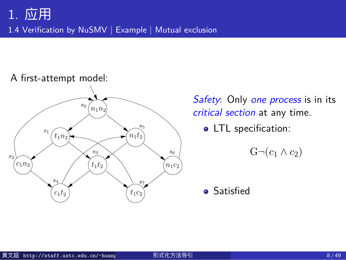1.4 Verification by NuSMV | Example | Mutual exclusion





*Safety*: Only *one process* is in its *critical section* at any time.

• LTL specification:

 $G$ *¬*( $c_1$  ∧  $c_2$ )

**•** Satisfied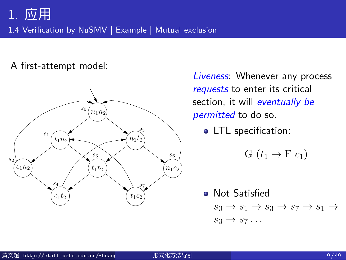1.4 Verification by NuSMV | Example | Mutual exclusion

A first-attempt model:



*Liveness*: Whenever any process *requests* to enter its critical section, it will *eventually be permitted* to do so.

• LTL specification:

$$
G(t_1 \rightarrow F c_1)
$$

**·** Not Satisfied  $s_0 \rightarrow s_1 \rightarrow s_3 \rightarrow s_7 \rightarrow s_1 \rightarrow$  $s_3 \rightarrow s_7 \ldots$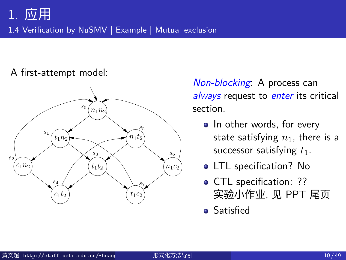1.4 Verification by NuSMV | Example | Mutual exclusion

#### A first-attempt model:



*Non-blocking*: A process can *always* request to *enter* its critical section.

- . In other words, for every state satisfying  $n_1$ , there is a successor satisfying  $t_1$ .
- LTL specification? No
- CTL specification: ?? 实验小作业, 见 PPT 尾页
- **•** Satisfied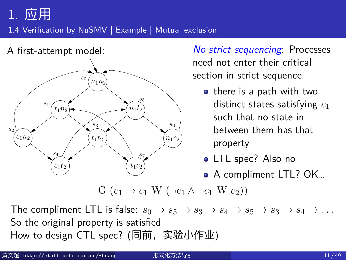#### 1.4 Verification by NuSMV | Example | Mutual exclusion



*No strict sequencing*: Processes need not enter their critical section in strict sequence

- o there is a path with two distinct states satisfying *c*<sup>1</sup> such that no state in between them has that property
- LTL spec? Also no
- A compliment LTL? OK…

The compliment LTL is false:  $s_0 \rightarrow s_5 \rightarrow s_3 \rightarrow s_4 \rightarrow s_5 \rightarrow s_3 \rightarrow s_4 \rightarrow \ldots$ So the original property is satisfied Liou to design CTL cree? (同前,<u>实验小作业</u>) How to design CTL spec? (同前,实验小作业)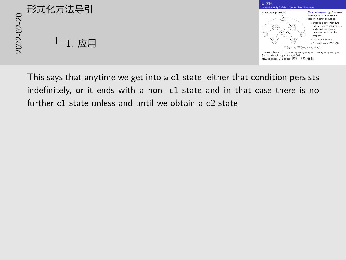1. 应用



This says that anytime we get into a c1 state, either that condition persists indefinitely, or it ends with a non- c1 state and in that case there is no further c1 state unless and until we obtain a c2 state.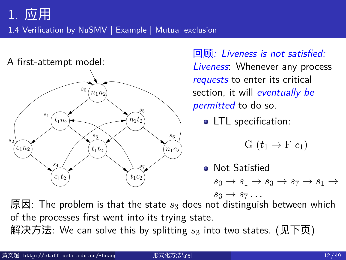1.4 Verification by NuSMV | Example | Mutual exclusion



回顾*: Liveness is not satisfied: Liveness*: Whenever any process *requests* to enter its critical section, it will *eventually be permitted* to do so.

• LTL specification:

$$
G(t_1 \rightarrow F c_1)
$$

**·** Not Satisfied  $s_0 \rightarrow s_1 \rightarrow s_3 \rightarrow s_7 \rightarrow s_1 \rightarrow$  $s_3 \rightarrow s_7 \ldots$ 

 $T$  safety property is not enough, since a property is not enough, since a protocol which permanently  $\alpha$ of the processes first went into its trying state. 原因: The problem is that the state *s*<sup>3</sup> does not distinguish between which

解决方法: We can solve this by splitting  $s_3$  into two states.  $(\rm \mathcal{R} \mathcal{F} \mathcal{\bar{D}})$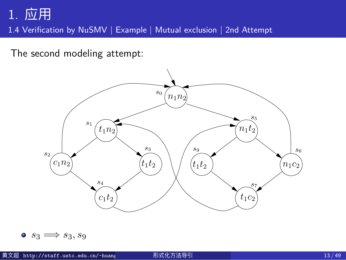1.4 Verification by NuSMV | Example | Mutual exclusion | 2nd Attempt

The second modeling attempt: The second conductions of  $\mathcal{S}$ 

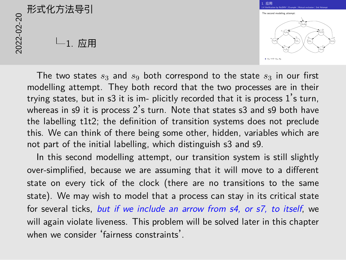1. 应用  $1.~\overline{\textrm{52}}\overline{\textrm{H}}$ <br>1.4 Verification by NuSMV | Example | Mutual exclusion | 2nd Attempt The second modeling attempt: 3.3 Motel exclusion | 2.3 Attempt: 3.3 Model checking: systems, properties 1919. I *<sup>s</sup>*<sup>0</sup> *n*1*n*<sup>2</sup> *c*1*n*<sup>2</sup> *c*1*t*<sup>2</sup> *s*5 *s*7 *n*1*t*<sup>2</sup> *t*1*c*<sup>2</sup> *t*1*t*<sup>2</sup> *t*1*t*<sup>2</sup> *s*<sup>9</sup> *s*<sup>6</sup> now two states representing *t*1*t*2,namely *s*<sup>3</sup> and *s*9. *<sup>s</sup>*<sup>3</sup> <sup>=</sup>*<sup>⇒</sup> <sup>s</sup>*3*, s*<sup>9</sup>

The two states  $s_3$  and  $s_9$  both correspond to the state  $s_3$  in our first modelling attempt. They both record that the two processes are in their trying states, but in s3 it is im- plicitly recorded that it is process  $1\text{'s}$  turn, whereas in s9 it is process 2's turn. Note that states s3 and s9 both have the labelling t1t2; the definition of transition systems does not preclude this. We can think of there being some other, hidden, variables which are not part of the initial labelling, which distinguish s3 and s9.

In this second modelling attempt, our transition system is still slightly over-simplified, because we are assuming that it will move to a different state on every tick of the clock (there are no transitions to the same state). We may wish to model that a process can stay in its critical state for several ticks, *but if we include an arrow from s4, or s7, to itself*, we will again violate liveness. This problem will be solved later in this chapter when we consider 'fairness constraints'.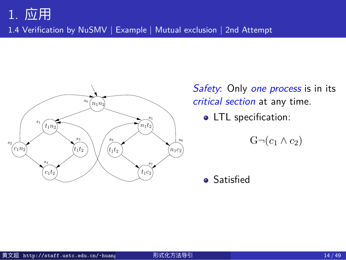1.4 Verification by NuSMV | Example | Mutual exclusion | 2nd Attempt



*Safety*: Only *one process* is in its *critical section* at any time.

• LTL specification:

 $G$ ¬ $(c_1 \land c_2)$ 

**•** Satisfied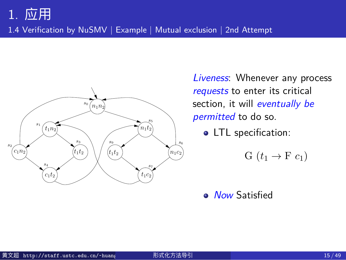1.4 Verification by NuSMV | Example | Mutual exclusion | 2nd Attempt



*Liveness*: Whenever any process *requests* to enter its critical section, it will *eventually be permitted* to do so.

• LTL specification:

G  $(t_1 \rightarrow F c_1)$ 

*Now* Satisfied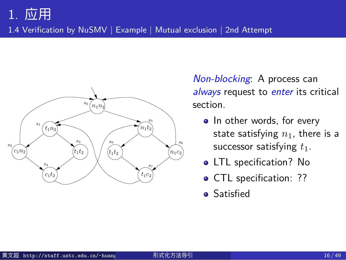1.4 Verification by NuSMV | Example | Mutual exclusion | 2nd Attempt



*Non-blocking*: A process can *always* request to *enter* its critical section.

- . In other words, for every state satisfying  $n_1$ , there is a successor satisfying  $t_1$ .
- LTL specification? No
- **· CTL** specification: ??
- **•** Satisfied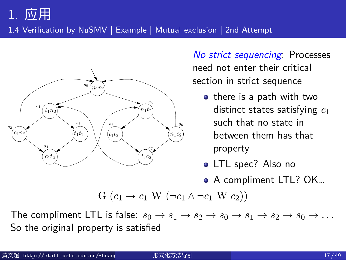1.4 Verification by NuSMV | Example | Mutual exclusion | 2nd Attempt



So far, this chapter has been quite theoretical; and the sections after this

*No strict sequencing*: Processes need not enter their critical section in strict sequence

- there is a path with two distinct states satisfying *c*<sup>1</sup> such that no state in between them has that property
- LTL spec? Also no
- A compliment LTL? OK…

 $\mathbf{G}(c_1 \to c_1 \mathbf{W} (\neg c_1 \land \neg c_1 \mathbf{W} c_2))$ 

The compliment LTL is false:  $s_0 \to s_1 \to s_2 \to s_0 \to s_1 \to s_2 \to s_0 \to \ldots$  $c$  is that it is also also also a practical subject, for the are several effect, for the are several efficient So the original property is satisfied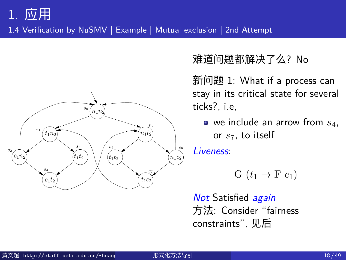1.4 Verification by NuSMV | Example | Mutual exclusion | 2nd Attempt



难道问题都解决了么? No

新问题 1: What if a process can stay in its critical state for several ticks?, i.e,

we include an arrow from *s*4, or *s*7, to itself

*Liveness*:

G  $(t_1 \rightarrow F c_1)$ 

*Not* Satisfied *again* 方法: Consider "fairness constraints", 见后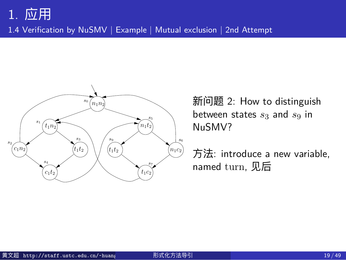1.4 Verification by NuSMV | Example | Mutual exclusion | 2nd Attempt



新问题 2: How to distinguish between states *s*<sup>3</sup> and *s*<sup>9</sup> in NuSMV?

方法: introduce a new variable, named turn, 见后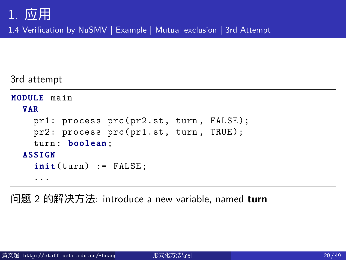1.4 Verification by NuSMV | Example | Mutual exclusion | 3rd Attempt

3rd attempt

```
MODULE main
  VAR
    pr1: process prc(pr2.st, turn, FALSE);
   pr2: process prc(pr1.st, turn, TRUE);
    turn: boolean;
  ASSIGN
    init(turn) := FALSE;...
```
问题 2 的解决方法: introduce a new variable, named **turn**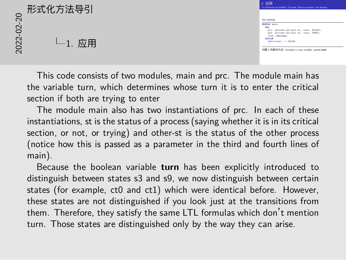# 2022-02-20形式化方法导引  $L_{1.}$  应用

 $1.~\overline{\textrm{50}}\overline{\textrm{H}}$ <br>1.4 Verification by NuSMV | Example | Mutual exclusion | 3rd Attempt 3rd attempt 3rd attempt<br><mark>MODULE</mark> main SULE main<br>pr1: process prc(pr2.st, turn, FALSE);<br>pr2: process prc(pr1.st, turn, TRUE); pri: process pro<br>pr2: process pro<br>turn: <mark>boolean</mark>; prz: p<br>turn:<br>ASSIGN turn: boolean;<br>SIGN<br>imit(turn) := FALSE; 问题 <sup>2</sup> 的解决方法: introduce a new variable, named **turn**

1. 应用

This code consists of two modules, main and prc. The module main has the variable turn, which determines whose turn it is to enter the critical section if both are trying to enter

The module main also has two instantiations of prc. In each of these instantiations, st is the status of a process (saying whether it is in its critical section, or not, or trying) and other-st is the status of the other process (notice how this is passed as a parameter in the third and fourth lines of main).

Because the boolean variable **turn** has been explicitly introduced to distinguish between states s3 and s9, we now distinguish between certain states (for example, ct0 and ct1) which were identical before. However, these states are not distinguished if you look just at the transitions from them. Therefore, they satisfy the same LTL formulas which don't mention turn. Those states are distinguished only by the way they can arise.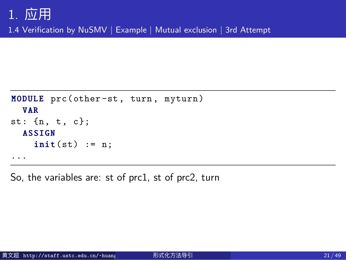1.4 Verification by NuSMV | Example | Mutual exclusion | 3rd Attempt

```
MODULE prc(other-st, turn, myturn)
  V A R
st: {n, t, c};
  ASSIGN
    init(st) := n;...
```
So, the variables are: st of prc1, st of prc2, turn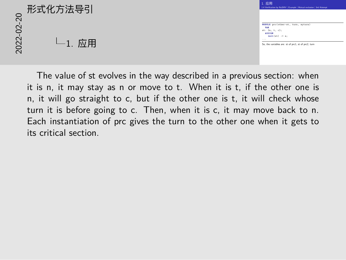|                  | 形式化方法导引 | 1. 应用<br>1.4 Verification by No5                                                                           |  |
|------------------|---------|------------------------------------------------------------------------------------------------------------|--|
| $\Omega$<br>2022 | 应用      | MODULE pro(othe<br><b>TAR</b><br>at: (n, t, c);<br><b>ASSIGN</b><br>$int(x)$ :<br><br>So, the variables as |  |



The value of st evolves in the way described in a previous section: when it is n, it may stay as n or move to t. When it is t, if the other one is n, it will go straight to c, but if the other one is t, it will check whose turn it is before going to c. Then, when it is c, it may move back to n. Each instantiation of prc gives the turn to the other one when it gets to its critical section.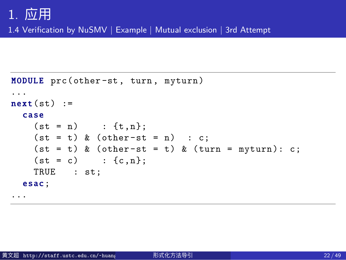1.4 Verification by NuSMV | Example | Mutual exclusion | 3rd Attempt

```
MODULE prc(other-st, turn, myturn)
...
next(st) :=c a s e
    (st = n) : \{t, n\};(st = t) & (other-st = n) : c;
    (st = t) & (other-st = t) & (turn = myturn): c;(st = c) : {c, n};
    TRUE : st;
  esac;
...
```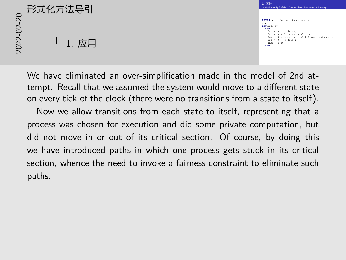$1.~\overline{\textrm{50}}\overline{\textrm{H}}$ <br>1.4 Verification by NuSMV | Example | Mutual exclusion | 3rd Attempt MODULE prc(other-st, turn, myturn) **nosuir** pro(ot)<br>...<br>me<mark>xt(</mark>at) :=  $\frac{1}{\sin(\pi t)}$  :=<br> $\frac{1}{(\pi t - n)}$  : {t,n};<br> $\frac{1}{(\pi t - n)}$  : {t,n}; se<br>(st = n) : (t,n);<br>(st = t) & (other -st = n) : c;<br>(st = t) & (stherm = n) & (tres (st = n) : (t,n);<br>(st = t) & (other st = n) : c;<br>(st = t) & (other st = t) & (turn = nyturn): c;<br>(-a = -) : (= -); (st = t) & (other-st =<br>(st = t) & (other-st =<br>(st = c) : {c,n};<br>rang = . ... (st = t) & (ot)<br>(st = c) :<br>TRUE : st;<br>--- $\frac{1}{2}$ <br> $\frac{1}{2}$  and  $\frac{1}{2}$  and  $\frac{1}{2}$  and  $\frac{1}{2}$  and  $\frac{1}{2}$  and  $\frac{1}{2}$  and  $\frac{1}{2}$  and  $\frac{1}{2}$  and  $\frac{1}{2}$  and  $\frac{1}{2}$  and  $\frac{1}{2}$  and  $\frac{1}{2}$  and  $\frac{1}{2}$  and  $\frac{1}{2}$  and  $\frac{1}{2}$  and

1. 应用

We have eliminated an over-simplification made in the model of 2nd attempt. Recall that we assumed the system would move to a different state on every tick of the clock (there were no transitions from a state to itself).

Now we allow transitions from each state to itself, representing that a process was chosen for execution and did some private computation, but did not move in or out of its critical section. Of course, by doing this we have introduced paths in which one process gets stuck in its critical section, whence the need to invoke a fairness constraint to eliminate such paths.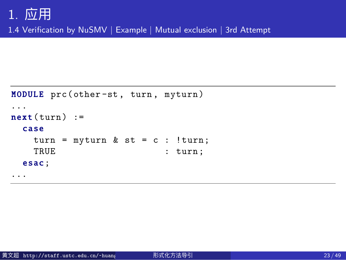1.4 Verification by NuSMV | Example | Mutual exclusion | 3rd Attempt

```
MODULE prc(other-st, turn, myturn)
...
next(turn) :=
 c a s e
   turn = myturn & st = c : !turn;
   TRUE : turn;
  esac;
...
```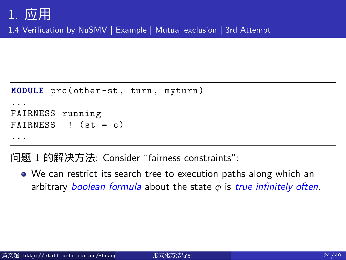1.4 Verification by NuSMV | Example | Mutual exclusion | 3rd Attempt

```
MODULE prc(other-st, turn, myturn)
...
FAIRNESS running
FAIRNESS ! (st = c)
...
```
问题 1 的解决方法: Consider "fairness constraints":

We can restrict its search tree to execution paths along which an arbitrary *boolean formula* about the state *ϕ* is *true infinitely often*.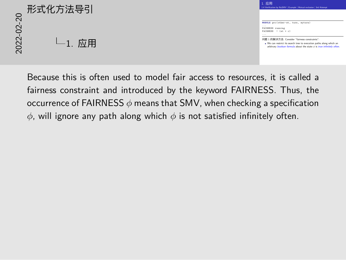#### 1. 应用 1.4 Verification by NuSMV | Example | Mutual exclusion | 3rd Attempt MODULE prc(other-st, turn, myturn) **ROBULE** pro(other-a)<br>...<br>FAIRNESS running<br>........... ...<br>FAIRNESS running<br>FAIRNESS ! (st = c) ... 问题 <sup>1</sup> 的解决方法: Consider "fairness constraints": We can restrict its search tree to execution paths along which an arbitrary *boolean formula* about the state *<sup>ϕ</sup>* is *true infinitely often*. 2022-02-20形式化方法导引 1. 应用

Because this is often used to model fair access to resources, it is called a

fairness constraint and introduced by the keyword FAIRNESS. Thus, the occurrence of FAIRNESS *ϕ* means that SMV, when checking a specification *ϕ*, will ignore any path along which *ϕ* is not satisfied infinitely often.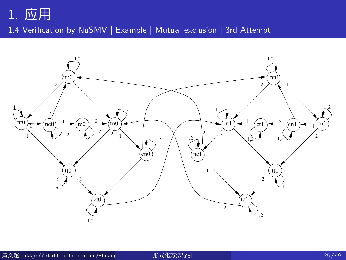# 1. 应用 1.4 Verification by NuSMV | Example | Mutual exclusion | 3rd Attempt

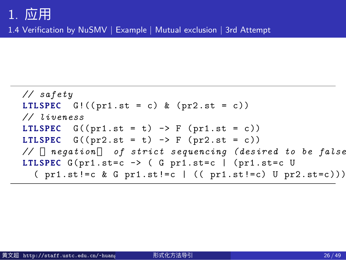1.4 Verification by NuSMV | Example | Mutual exclusion | 3rd Attempt

```
// safety
LTLSPEC G!((pr1.st = c) & (pr2.st = c))// liveness
LTLSPEC G((pr1.st = t) \rightarrow F (pr1.st = c))LTLSPEC G((pr2.st = t) \rightarrow F (pr2.st = c))// negation of strict sequencing (desired to be false)
LTLSPEC G(pr1.st=c \rightarrow (G pr1.st=c | (pr1.st=c U( pr1.st!=c & G pr1.st!=c | (( pr1.st!=c) U pr2.st=c)))))
```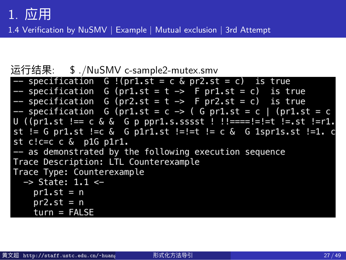1.4 Verification by NuSMV | Example | Mutual exclusion | 3rd Attempt

### 运行结果: \$ ./NuSMV c-sample2-mutex.smv

| $-$ specification G !(pr1.st = c & pr2.st = c) is true            |
|-------------------------------------------------------------------|
| $-$ specification G (pr1.st = t -> F pr1.st = c) is true          |
| -- specification G (pr2.st = t -> F pr2.st = c) is true           |
| -- specification G (pr1.st = c -> ( G pr1.st = c   (pr1.st = c    |
| $U$ ((pr1.st !== c & & G p ppr1.s.sssst ! !!====!=!=t !=.st !=r1. |
| st != G pr1.st != c & G p1r1.st !=!=t != c & G 1spr1s.st != 1. c  |
| st $c!c=c$ $\&$ p1G p1r1.                                         |
| -- as demonstrated by the following execution sequence            |
| Trace Description: LTL Counterexample                             |
| Trace Type: Counterexample                                        |
| $\rightarrow$ State: 1.1 <-                                       |
| $pr1.st = n$                                                      |
| $pr2$ .st = n                                                     |
| $turn = FALSE$                                                    |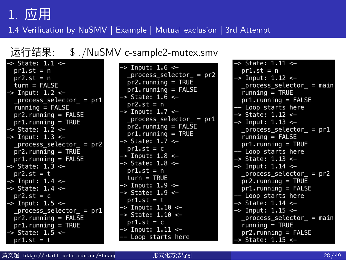1.4 Verification by NuSMV | Example | Mutual exclusion | 3rd Attempt

### 运行结果: \$ ./NuSMV c-sample2-mutex.smv

| -> Input: 1.6 <-<br>$pr1.st = n$<br>process select<br>$pr2$ .st = n<br>$pr2.$ running = 1<br>turn = FALSE<br>$pr1.$ running = $F$<br>$\Rightarrow$ Input: 1.2 <-<br>-> State: 1.6 <-<br>process selector = pr1<br>$pr2$ .st = n<br>$running = FALSE$<br>$\rightarrow$ Input: 1.7 <-<br>$pr2.$ running = FALSE<br>_process_select<br>pr1.running = TRUE<br>$pr2.$ running = $F$<br>-> State: 1. <u>2 &lt;-</u><br>$pr1.$ running = $\overline{1}$<br>-> Input: 1.3 <-<br>-> State: 1.7 <-<br>$process\_selector_ = pr2$<br>$pr1.st = c$<br>$pr2.$ running = TRUE<br>$\Rightarrow$ Input: 1.8 $\lt$<br>$pr1.$ running = FALSE<br>-> State: 1.8 <-<br>-> State: 1.3 <-<br>$pr1.st = n$<br>pr2.st = t<br>$turn = TRUE$<br>$\Rightarrow$ Input: 1.4 <-<br>-> Input: 1.9 <-<br>-> State: 1.4 <-<br>-> State: 1.9 <-<br>$pr2 \cdot st = c$<br>$pr1.st = t$<br>$\Rightarrow$ Input: 1.5 <-<br>$\Rightarrow$ Input: 1.10 <-<br>_process_selector_ = pr1<br>-> State: 1.10 <-<br>pr2.running = FALSE<br>$pr1.st = c$<br>$pr1.$ running = TRUE<br>-> Input: 1.11 <-<br>-> State: 1.5 <-<br>-- Loop starts he<br>$pr1.st = t$ |                             |  |
|-------------------------------------------------------------------------------------------------------------------------------------------------------------------------------------------------------------------------------------------------------------------------------------------------------------------------------------------------------------------------------------------------------------------------------------------------------------------------------------------------------------------------------------------------------------------------------------------------------------------------------------------------------------------------------------------------------------------------------------------------------------------------------------------------------------------------------------------------------------------------------------------------------------------------------------------------------------------------------------------------------------------------------------------------------------------------------------------------------------------|-----------------------------|--|
|                                                                                                                                                                                                                                                                                                                                                                                                                                                                                                                                                                                                                                                                                                                                                                                                                                                                                                                                                                                                                                                                                                                   | $\rightarrow$ State: 1.1 <- |  |

| $\mathsf{tor} = \mathsf{pr2}$<br>TRUE<br><b>FALSE</b> | $\rightarrow$ State: 1.11 <-<br>$pr1.st = n$<br>$\rightarrow$ Input: 1.12 $\leftarrow$<br>process selector = main<br>$running = TRUE$<br>$pr1.$ running = FALSE                         |
|-------------------------------------------------------|-----------------------------------------------------------------------------------------------------------------------------------------------------------------------------------------|
| $tor_ = pr1$<br>FALSE<br>True                         | -- Loop starts here<br>-> State: 1.12 <-<br>$\rightarrow$ Input: 1.13 <-<br>$process_eelector$ = pr1<br>$running = FALSE$<br>$pr1.$ running = TRUE<br>-- Loop starts here               |
|                                                       | $\rightarrow$ State: 1.13 $\leftarrow$<br>$\rightarrow$ Input: 1.14 $\leftarrow$<br>$process_eelector = pr2$<br>$pr2$ . running = TRUE<br>$pr1.$ running = FALSE<br>-- Loop starts here |
| ere                                                   | -> State: 1.14 <-<br>$\Rightarrow$ Input: 1.15 <-<br>$process_eelector$ = main<br>$running = TRUE$<br>$pr2.$ running = FALSE<br>-> State: 1.15 <-                                       |

| 黄文超 http://staff.ustc.edu.cn/~huang | 形式化方法导引 | 28/49 |
|-------------------------------------|---------|-------|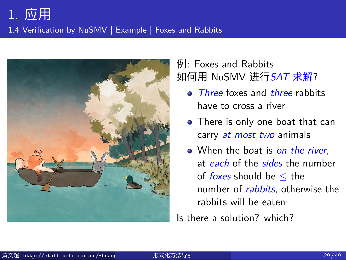1.4 Verification by NuSMV | Example | Foxes and Rabbits



### 例: Foxes and Rabbits 如何用 NuSMV 进行*SAT* 求解?

- *Three* foxes and *three* rabbits have to cross a river
- There is only one boat that can carry *at most two* animals
- When the boat is *on the river*, at *each* of the *sides* the number of *foxes* should be *≤* the number of *rabbits*, otherwise the rabbits will be eaten

Is there a solution? which?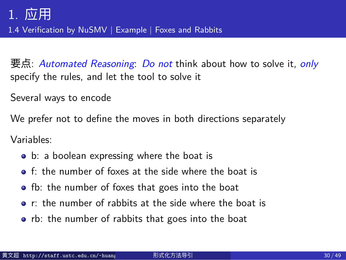1.4 Verification by NuSMV | Example | Foxes and Rabbits

要点: *Automated Reasoning*: *Do not* think about how to solve it, *only* specify the rules, and let the tool to solve it

Several ways to encode

We prefer not to define the moves in both directions separately

Variables:

- b: a boolean expressing where the boat is
- **o** f: the number of foxes at the side where the boat is
- **•** fb: the number of foxes that goes into the boat
- r: the number of rabbits at the side where the boat is
- rb: the number of rabbits that goes into the boat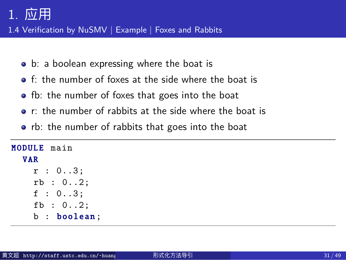1.4 Verification by NuSMV | Example | Foxes and Rabbits

- b: a boolean expressing where the boat is
- f: the number of foxes at the side where the boat is
- **o** fb: the number of foxes that goes into the boat
- r: the number of rabbits at the side where the boat is
- rb: the number of rabbits that goes into the boat

| <b>MODULE</b> main |  |
|--------------------|--|
| <b>VAR</b>         |  |
| r : 03;            |  |
| rb : 02;           |  |
| f : 03;            |  |
| fb : $02$ ;        |  |
| b : boolean;       |  |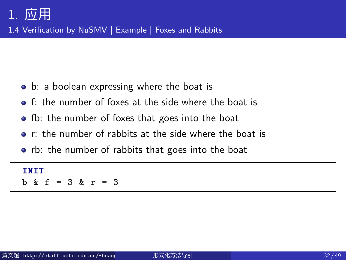1.4 Verification by NuSMV | Example | Foxes and Rabbits

- b: a boolean expressing where the boat is
- f: the number of foxes at the side where the boat is
- **•** fb: the number of foxes that goes into the boat
- r: the number of rabbits at the side where the boat is
- rb: the number of rabbits that goes into the boat

#### I N I T b & f = 3 & r = 3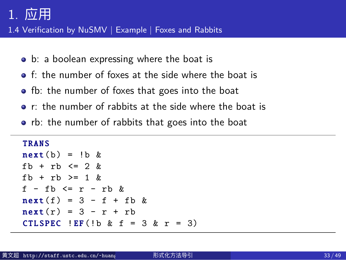1.4 Verification by NuSMV | Example | Foxes and Rabbits

- b: a boolean expressing where the boat is
- f: the number of foxes at the side where the boat is
- **•** fb: the number of foxes that goes into the boat
- r: the number of rabbits at the side where the boat is
- rb: the number of rabbits that goes into the boat

```
TRANS
next(b) = lb &fb + rb \leq 2 &
fb + rb \geq 1 &
f - fb\leqr - rb &
next(f) = 3 - f + fb &
next(r) = 3 - r + rbCTLSPEC !EF(!b & f = 3 & r = 3)
```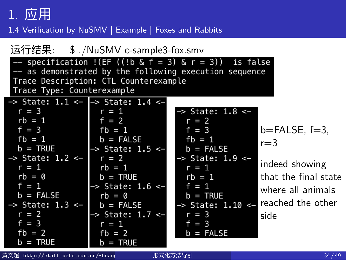运行结果: \$ ./NuSMV c-sample3-fox.smv<br>-- specification !(EF ((!b & f = 3) & r = 3)) is false<br>-- as demonstrated by the following execution sequence<br>Trace Description: CTL Counterexample Trace Type: Counterexample  $>$  State: 1.1 <- $\Rightarrow$  State: 1.4 < $r = 3$  $r = 1$ State:  $1.8 < rb = 1$  $f = 2$  $r = 2$ <br> $f = 3$  $f = 3$  $fb = 1$  $b = FALSE, f = 3,$  $\begin{array}{rcl} \n\text{fb} & = & 1 \\ \n\text{b} & = & \text{FALSE} \n\end{array}$  $fb = 1$  $b = FALSE$  $r=3$  $b = TRUE$ State:  $1.5 <$ > State:  $1.2$  <-State:  $1.9 < r = 2$ indeed showing  $rb = 1$  $r = 1$  $r = 1$  $b = TRUE$  $rb = 0$  $rb = 1$ that the final state  $f = 1$  $f = 1$  $>$  State: 1.6  $<$ where all animals  $b = FALSE$  $b = TRUE$  $rb = 0$ reached the other  $\Rightarrow$  State: 1.3 < $b = FALSE$  $>$  State: 1.10 < $r = 3$ <br> $f = 3$  $r = 2$ State: 1.7 <side 5  $=$  3<br>=  $54$  $f = 3$  $r = 1$  $fb = 2$  $fb = 2$  $\mathsf b$  $b = TRUE$  $b = TRUE$ 黄文超 http://staff.ustc.edu.cn/~huang 形式化方法导引 34 / 49

1.4 Verification by NuSMV | Example | Foxes and Rabbits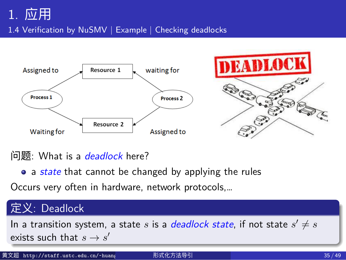1.4 Verification by NuSMV | Example | Checking deadlocks



#### 问题: What is a *deadlock* here?

• a *state* that cannot be changed by applying the rules

Occurs very often in hardware, network protocols,…

### 定义: Deadlock

In a transition system, a state  $s$  is a  $\emph{deadlock state}$ , if not state  $s' \neq s$ exists such that  $s \to s'$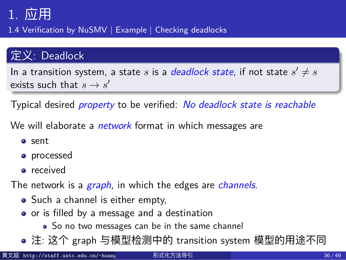1.4 Verification by NuSMV | Example | Checking deadlocks

#### 定义: Deadlock

In a transition system, a state  $s$  is a  $\emph{deadlock state}$ , if not state  $s' \neq s$ exists such that  $s \to s'$ 

Typical desired *property* to be verified: *No deadlock state is reachable*

We will elaborate a *network* format in which messages are

- sent
- **o** processed
- **•** received

The network is a *graph*, in which the edges are *channels*.

- Such a channel is either empty,
- o or is filled by a message and a destination
- So no two messages can be in the same channel
- 注: 这个 graph 与模型检测中的 transition system 模型的用途不同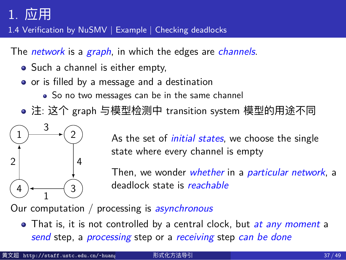1.4 Verification by NuSMV | Example | Checking deadlocks

The *network* is a *graph*, in which the edges are *channels*.

- Such a channel is either empty,
- o or is filled by a message and a destination
	- So no two messages can be in the same channel
- 注: 这个 graph 与模型检测中 transition system 模型的用途不同



As the set of *initial states*, we choose the single state where every channel is empty

Then, we wonder *whether* in a *particular network*, a deadlock state is *reachable*

Our computation / processing is *asynchronous*

That is, it is not controlled by a central clock, but *at any moment* a *send* step, a *processing* step or a *receiving* step *can be done*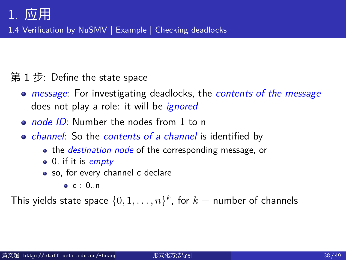1.4 Verification by NuSMV | Example | Checking deadlocks

第 1 步: Define the state space

- *message*: For investigating deadlocks, the *contents of the message* does not play a role: it will be *ignored*
- *node ID*: Number the nodes from 1 to n
- *channel*: So the *contents of a channel* is identified by
	- the *destination node* of the corresponding message, or
		- 0, if it is *empty*
		- so, for every channel c declare
			- $\bullet$  c : 0..n

This yields state space  $\{0,1,\ldots,n\}^k$ , for  $k=$  number of channels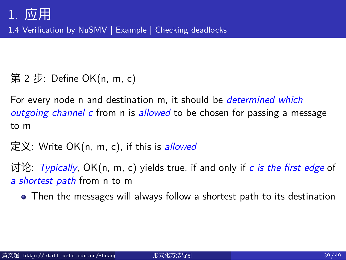1.4 Verification by NuSMV | Example | Checking deadlocks

第 2 步: Define OK(n, m, c)

For every node n and destination m, it should be *determined which outgoing channel c* from n is *allowed* to be chosen for passing a message to m

定义: Write OK(n, m, c), if this is *allowed*

讨论: *Typically*, OK(n, m, c) yields true, if and only if *c is the first edge* of *a shortest path* from n to m

Then the messages will always follow a shortest path to its destination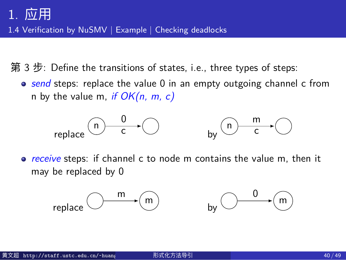1.4 Verification by NuSMV | Example | Checking deadlocks

- 第 3 步: Define the transitions of states, i.e., three types of steps:
	- *send* steps: replace the value 0 in an empty outgoing channel c from n by the value m, *if OK(n, m, c)*



*receive* steps: if channel c to node m contains the value m, then it may be replaced by 0

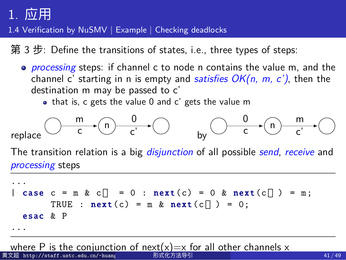...

1.4 Verification by NuSMV | Example | Checking deadlocks

第 3 步: Define the transitions of states, i.e., three types of steps:

- *processing* steps: if channel c to node n contains the value m, and the channel c' starting in n is empty and *satisfies OK(n, m, c')*, then the destination m may be passed to c'
	- that is, c gets the value 0 and c' gets the value m

$$
\mathsf{replace} \bigcirc \xrightarrow{\mathsf{m}} \mathsf{c} \xrightarrow{\mathsf{0}} \bigcirc \xrightarrow{\mathsf{0}} \mathsf{by} \bigcirc \xrightarrow{\mathsf{0}} \mathsf{c} \xrightarrow{\mathsf{m}} \bigcirc
$$

The transition relation is a big *disjunction* of all possible *send*, *receive* and *processing* steps

 $\vert$  case  $c = m \& c = 0$ : next(c) = 0 & next(c) = m; TRUE :  $next(c) = m & next(c) = 0;$ esac & P ...

where P is the conjunction of next(x)=x for all other channels x the companience of next  $\lambda$ , which are other enanners  $\lambda$  41/49<br>fif.ustc.edu.cn/~huang 形式化方法导引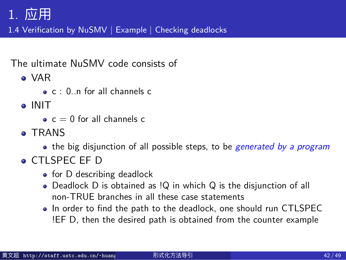1.4 Verification by NuSMV | Example | Checking deadlocks

The ultimate NuSMV code consists of

- VAR
	- c : 0..n for all channels c
- o INIT
	- $\bullet$  c = 0 for all channels c
- **TRANS** 
	- the big disjunction of all possible steps, to be *generated by a program*
- CTLSPEC EF D
	- for D describing deadlock
	- Deadlock D is obtained as !Q in which Q is the disjunction of all non-TRUE branches in all these case statements
	- In order to find the path to the deadlock, one should run CTLSPEC !EF D, then the desired path is obtained from the counter example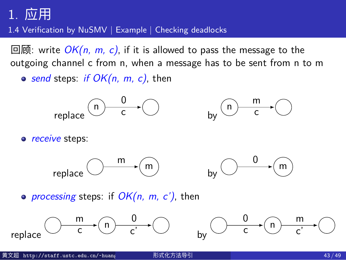1.4 Verification by NuSMV | Example | Checking deadlocks

回顾: write *OK(n, m, c)*, if it is allowed to pass the message to the outgoing channel c from n, when a message has to be sent from n to m

*send* steps: *if OK(n, m, c)*, then

$$
\mathsf{replace} \overset{\frown}{\longrightarrow} \overset{0}{\bigcirc} \longrightarrow \overset{\frown}{\bigcirc} \qquad \qquad \mathsf{by} \overset{\frown}{\longrightarrow} \overset{\mathsf{m}}{\overbrace{\longrightarrow}} \overset{\frown}{\bigcirc}
$$

*receive* steps:





*processing* steps: if *OK(n, m, c')*, then

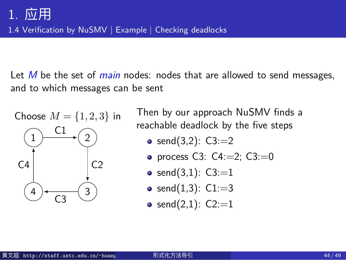1.4 Verification by NuSMV | Example | Checking deadlocks

Let *M* be the set of *main* nodes: nodes that are allowed to send messages, and to which messages can be sent

Choose  $M = \{1, 2, 3\}$  in  $1 \rightarrow 2$  $\frac{4}{C3}$   $\frac{3}{C}$  $C<sub>1</sub>$  $C<sub>2</sub>$  $C<sub>4</sub>$ 

Then by our approach NuSMV finds a reachable deadlock by the five steps

- send $(3,2)$ : C3:=2
- process C3:  $C4:=2$ ;  $C3:=0$
- send $(3,1)$ : C3:=1
- send $(1,3)$ : C1:=3
- send $(2,1)$ : C2:=1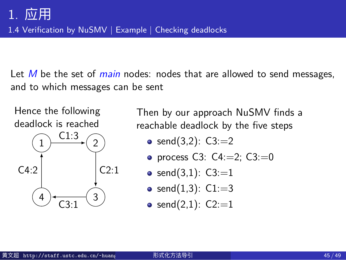1.4 Verification by NuSMV | Example | Checking deadlocks

Let *M* be the set of *main* nodes: nodes that are allowed to send messages, and to which messages can be sent

Hence the following deadlock is reached



Then by our approach NuSMV finds a reachable deadlock by the five steps

- send $(3,2)$ : C3:=2
- process C3:  $C4:=2$ ;  $C3:=0$
- send $(3,1)$ : C3:=1
- send $(1,3)$ : C1:=3
- send $(2,1)$ : C2:=1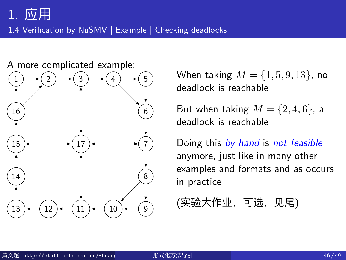1.4 Verification by NuSMV | Example | Checking deadlocks



When taking *M* = *{*1*,* 5*,* 9*,* 13*}*, no deadlock is reachable

But when taking  $M = \{2, 4, 6\}$ , a deadlock is reachable

Doing this *by hand* is *not feasible* anymore, just like in many other examples and formats and as occurs in practice

(实验大作业,可选,见尾)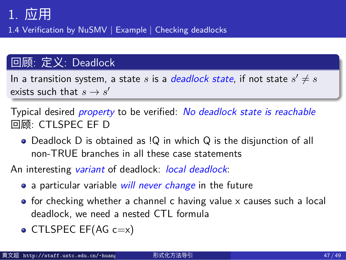1.4 Verification by NuSMV | Example | Checking deadlocks

#### 回顾: 定义: Deadlock

In a transition system, a state  $s$  is a  $\emph{deadlock state}$ , if not state  $s' \neq s$ exists such that  $s \to s'$ 

Typical desired *property* to be verified: *No deadlock state is reachable* 回顾: CTLSPEC EF D

Deadlock D is obtained as !Q in which Q is the disjunction of all non-TRUE branches in all these case statements

An interesting *variant* of deadlock: *local deadlock*:

- a particular variable *will never change* in the future
- $\bullet$  for checking whether a channel c having value x causes such a local deadlock, we need a nested CTL formula
- CTLSPEC EF(AG  $c=x$ )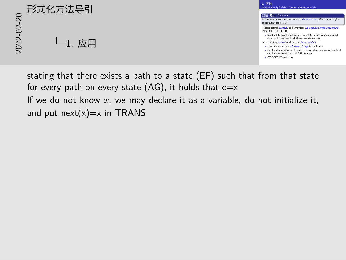# 20<br>2022<br>2022<br>2022<br>2022<br>2022<br>2022<br>2022  $L_1$ . 应用



stating that there exists a path to a state (EF) such that from that state for every path on every state (AG), it holds that  $c=x$ If we do not know *x*, we may declare it as a variable, do not initialize it, and put  $next(x)=x$  in TRANS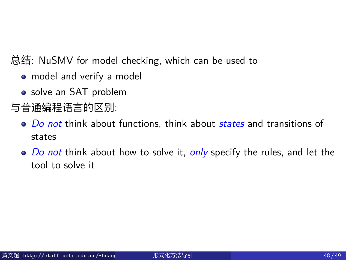总结: NuSMV for model checking, which can be used to

- model and verify a model
- solve an SAT problem
- 与普通编程语言的区别:
	- *Do not* think about functions, think about *states* and transitions of states
	- *Do not* think about how to solve it, *only* specify the rules, and let the tool to solve it